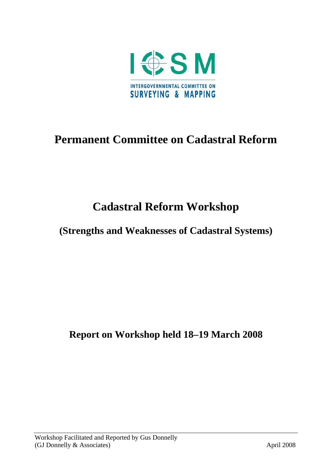

# **Permanent Committee on Cadastral Reform**

# **Cadastral Reform Workshop**

# **(Strengths and Weaknesses of Cadastral Systems)**

**Report on Workshop held 18–19 March 2008**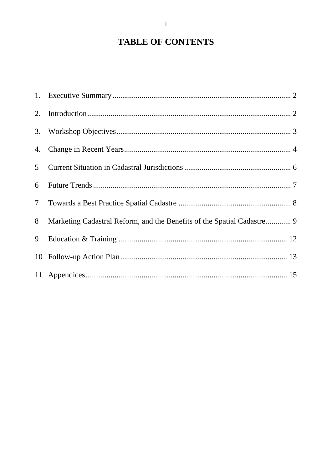# **TABLE OF CONTENTS**

| 5 <sup>5</sup> |                                                                        |  |
|----------------|------------------------------------------------------------------------|--|
| 6              |                                                                        |  |
| 7 <sup>7</sup> |                                                                        |  |
| 8              | Marketing Cadastral Reform, and the Benefits of the Spatial Cadastre 9 |  |
| 9              |                                                                        |  |
|                |                                                                        |  |
|                |                                                                        |  |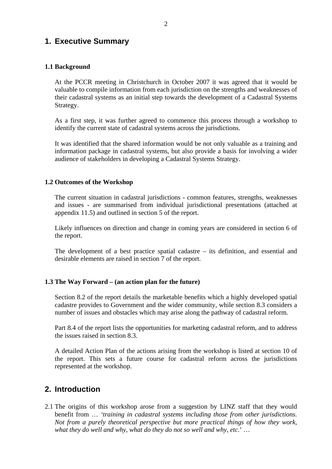## **1. Executive Summary**

## **1.1 Background**

At the PCCR meeting in Christchurch in October 2007 it was agreed that it would be valuable to compile information from each jurisdiction on the strengths and weaknesses of their cadastral systems as an initial step towards the development of a Cadastral Systems Strategy.

As a first step, it was further agreed to commence this process through a workshop to identify the current state of cadastral systems across the jurisdictions.

It was identified that the shared information would be not only valuable as a training and information package in cadastral systems, but also provide a basis for involving a wider audience of stakeholders in developing a Cadastral Systems Strategy.

## **1.2 Outcomes of the Workshop**

The current situation in cadastral jurisdictions - common features, strengths, weaknesses and issues - are summarised from individual jurisdictional presentations (attached at appendix 11.5) and outlined in section 5 of the report.

Likely influences on direction and change in coming years are considered in section 6 of the report.

The development of a best practice spatial cadastre – its definition, and essential and desirable elements are raised in section 7 of the report.

#### **1.3 The Way Forward – (an action plan for the future)**

Section 8.2 of the report details the marketable benefits which a highly developed spatial cadastre provides to Government and the wider community, while section 8.3 considers a number of issues and obstacles which may arise along the pathway of cadastral reform.

Part 8.4 of the report lists the opportunities for marketing cadastral reform, and to address the issues raised in section 8.3.

A detailed Action Plan of the actions arising from the workshop is listed at section 10 of the report. This sets a future course for cadastral reform across the jurisdictions represented at the workshop.

## **2. Introduction**

2.1 The origins of this workshop arose from a suggestion by LINZ staff that they would benefit from … *'training in cadastral systems including those from other jurisdictions. Not from a purely theoretical perspective but more practical things of how they work, what they do well and why, what do they do not so well and why, etc*.' …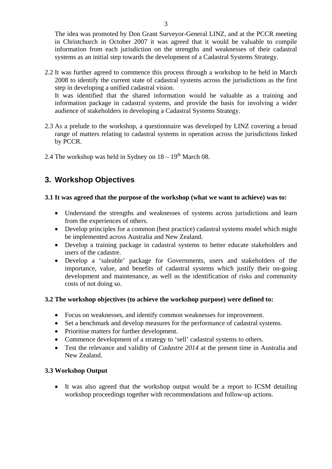The idea was promoted by Don Grant Surveyor-General LINZ, and at the PCCR meeting in Christchurch in October 2007 it was agreed that it would be valuable to compile information from each jurisdiction on the strengths and weaknesses of their cadastral systems as an initial step towards the development of a Cadastral Systems Strategy.

2.2 It was further agreed to commence this process through a workshop to be held in March 2008 to identify the current state of cadastral systems across the jurisdictions as the first step in developing a unified cadastral vision.

It was identified that the shared information would be valuable as a training and information package in cadastral systems, and provide the basis for involving a wider audience of stakeholders in developing a Cadastral Systems Strategy.

- 2.3 As a prelude to the workshop, a questionnaire was developed by LINZ covering a broad range of matters relating to cadastral systems in operation across the jurisdictions linked by PCCR.
- 2.4 The workshop was held in Sydney on  $18 19<sup>th</sup>$  March 08.

## **3. Workshop Objectives**

## **3.1 It was agreed that the purpose of the workshop (what we want to achieve) was to:**

- Understand the strengths and weaknesses of systems across jurisdictions and learn from the experiences of others.
- Develop principles for a common (best practice) cadastral systems model which might be implemented across Australia and New Zealand.
- Develop a training package in cadastral systems to better educate stakeholders and users of the cadastre.
- Develop a 'saleable' package for Governments, users and stakeholders of the importance, value, and benefits of cadastral systems which justify their on-going development and maintenance, as well as the identification of risks and community costs of not doing so.

## **3.2 The workshop objectives (to achieve the workshop purpose) were defined to:**

- Focus on weaknesses, and identify common weaknesses for improvement.
- Set a benchmark and develop measures for the performance of cadastral systems.
- Prioritise matters for further development.
- Commence development of a strategy to 'sell' cadastral systems to others.
- Test the relevance and validity of *Cadastre 2014* at the present time in Australia and New Zealand.

## **3.3 Workshop Output**

• It was also agreed that the workshop output would be a report to ICSM detailing workshop proceedings together with recommendations and follow-up actions.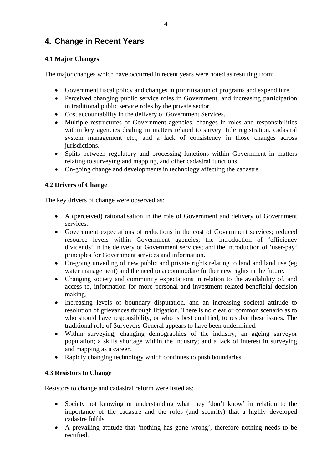## **4. Change in Recent Years**

## **4.1 Major Changes**

The major changes which have occurred in recent years were noted as resulting from:

- Government fiscal policy and changes in prioritisation of programs and expenditure.
- Perceived changing public service roles in Government, and increasing participation in traditional public service roles by the private sector.
- Cost accountability in the delivery of Government Services.
- Multiple restructures of Government agencies, changes in roles and responsibilities within key agencies dealing in matters related to survey, title registration, cadastral system management etc., and a lack of consistency in those changes across jurisdictions.
- Splits between regulatory and processing functions within Government in matters relating to surveying and mapping, and other cadastral functions.
- On-going change and developments in technology affecting the cadastre.

## **4.2 Drivers of Change**

The key drivers of change were observed as:

- A (perceived) rationalisation in the role of Government and delivery of Government services.
- Government expectations of reductions in the cost of Government services; reduced resource levels within Government agencies; the introduction of 'efficiency dividends' in the delivery of Government services; and the introduction of 'user-pay' principles for Government services and information.
- On-going unveiling of new public and private rights relating to land and land use (eg) water management) and the need to accommodate further new rights in the future.
- Changing society and community expectations in relation to the availability of, and access to, information for more personal and investment related beneficial decision making.
- Increasing levels of boundary disputation, and an increasing societal attitude to resolution of grievances through litigation. There is no clear or common scenario as to who should have responsibility, or who is best qualified, to resolve these issues. The traditional role of Surveyors-General appears to have been undermined.
- Within surveying, changing demographics of the industry; an ageing surveyor population; a skills shortage within the industry; and a lack of interest in surveying and mapping as a career.
- Rapidly changing technology which continues to push boundaries.

## **4.3 Resistors to Change**

Resistors to change and cadastral reform were listed as:

- Society not knowing or understanding what they 'don't know' in relation to the importance of the cadastre and the roles (and security) that a highly developed cadastre fulfils.
- A prevailing attitude that 'nothing has gone wrong', therefore nothing needs to be rectified.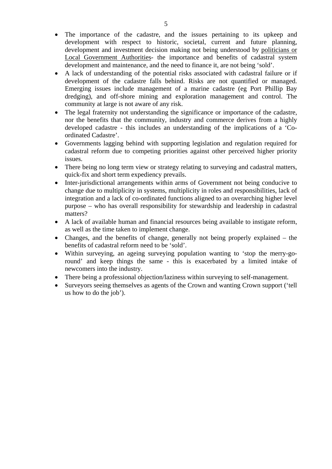- The importance of the cadastre, and the issues pertaining to its upkeep and development with respect to historic, societal, current and future planning, development and investment decision making not being understood by politicians or Local Government Authorities- the importance and benefits of cadastral system development and maintenance, and the need to finance it, are not being 'sold'.
- A lack of understanding of the potential risks associated with cadastral failure or if development of the cadastre falls behind. Risks are not quantified or managed. Emerging issues include management of a marine cadastre (eg Port Phillip Bay dredging), and off-shore mining and exploration management and control. The community at large is not aware of any risk.
- The legal fraternity not understanding the significance or importance of the cadastre, nor the benefits that the community, industry and commerce derives from a highly developed cadastre - this includes an understanding of the implications of a 'Coordinated Cadastre'.
- Governments lagging behind with supporting legislation and regulation required for cadastral reform due to competing priorities against other perceived higher priority issues.
- There being no long term view or strategy relating to surveying and cadastral matters, quick-fix and short term expediency prevails.
- Inter-jurisdictional arrangements within arms of Government not being conducive to change due to multiplicity in systems, multiplicity in roles and responsibilities, lack of integration and a lack of co-ordinated functions aligned to an overarching higher level purpose – who has overall responsibility for stewardship and leadership in cadastral matters?
- A lack of available human and financial resources being available to instigate reform, as well as the time taken to implement change.
- Changes, and the benefits of change, generally not being properly explained the benefits of cadastral reform need to be 'sold'.
- Within surveying, an ageing surveying population wanting to 'stop the merry-goround' and keep things the same - this is exacerbated by a limited intake of newcomers into the industry.
- There being a professional objection/laziness within surveying to self-management.
- Surveyors seeing themselves as agents of the Crown and wanting Crown support ('tell us how to do the job').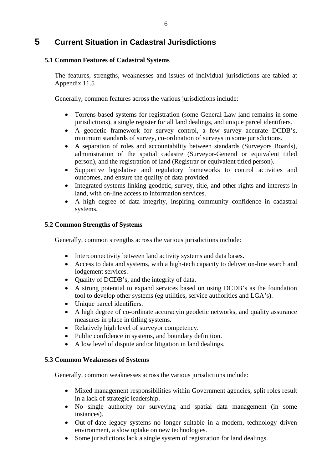## **5 Current Situation in Cadastral Jurisdictions**

## **5.1 Common Features of Cadastral Systems**

The features, strengths, weaknesses and issues of individual jurisdictions are tabled at Appendix 11.5

Generally, common features across the various jurisdictions include:

- Torrens based systems for registration (some General Law land remains in some jurisdictions), a single register for all land dealings, and unique parcel identifiers.
- A geodetic framework for survey control, a few survey accurate DCDB's, minimum standards of survey, co-ordination of surveys in some jurisdictions.
- A separation of roles and accountability between standards (Surveyors Boards), administration of the spatial cadastre (Surveyor-General or equivalent titled person), and the registration of land (Registrar or equivalent titled person).
- Supportive legislative and regulatory frameworks to control activities and outcomes, and ensure the quality of data provided.
- Integrated systems linking geodetic, survey, title, and other rights and interests in land, with on-line access to information services.
- A high degree of data integrity, inspiring community confidence in cadastral systems.

## **5.2 Common Strengths of Systems**

Generally, common strengths across the various jurisdictions include:

- Interconnectivity between land activity systems and data bases.
- Access to data and systems, with a high-tech capacity to deliver on-line search and lodgement services.
- Quality of DCDB's, and the integrity of data.
- A strong potential to expand services based on using DCDB's as the foundation tool to develop other systems (eg utilities, service authorities and LGA's).
- Unique parcel identifiers.
- A high degree of co-ordinate accuracyin geodetic networks, and quality assurance measures in place in titling systems.
- Relatively high level of surveyor competency.
- Public confidence in systems, and boundary definition.
- A low level of dispute and/or litigation in land dealings.

## **5.3 Common Weaknesses of Systems**

Generally, common weaknesses across the various jurisdictions include:

- Mixed management responsibilities within Government agencies, split roles result in a lack of strategic leadership.
- No single authority for surveying and spatial data management (in some instances).
- Out-of-date legacy systems no longer suitable in a modern, technology driven environment, a slow uptake on new technologies.
- Some jurisdictions lack a single system of registration for land dealings.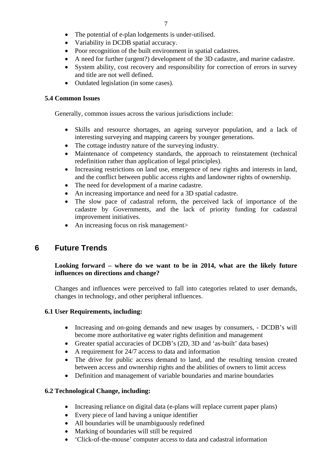- The potential of e-plan lodgements is under-utilised.
- Variability in DCDB spatial accuracy.
- Poor recognition of the built environment in spatial cadastres.
- A need for further (urgent?) development of the 3D cadastre, and marine cadastre.
- System ability, cost recovery and responsibility for correction of errors in survey and title are not well defined.
- Outdated legislation (in some cases).

#### **5.4 Common Issues**

Generally, common issues across the various jurisdictions include:

- Skills and resource shortages, an ageing surveyor population, and a lack of interesting surveying and mapping careers by younger generations.
- The cottage industry nature of the surveying industry.
- Maintenance of competency standards, the approach to reinstatement (technical redefinition rather than application of legal principles).
- Increasing restrictions on land use, emergence of new rights and interests in land, and the conflict between public access rights and landowner rights of ownership.
- The need for development of a marine cadastre.
- An increasing importance and need for a 3D spatial cadastre.
- The slow pace of cadastral reform, the perceived lack of importance of the cadastre by Governments, and the lack of priority funding for cadastral improvement initiatives.
- An increasing focus on risk management>

## **6 Future Trends**

## **Looking forward – where do we want to be in 2014, what are the likely future influences on directions and change?**

Changes and influences were perceived to fall into categories related to user demands, changes in technology, and other peripheral influences.

#### **6.1 User Requirements, including:**

- Increasing and on-going demands and new usages by consumers, DCDB's will become more authoritative eg water rights definition and management
- Greater spatial accuracies of DCDB's (2D, 3D and 'as-built' data bases)
- A requirement for 24/7 access to data and information
- The drive for public access demand to land, and the resulting tension created between access and ownership rights and the abilities of owners to limit access
- Definition and management of variable boundaries and marine boundaries

#### **6.2 Technological Change, including:**

- Increasing reliance on digital data (e-plans will replace current paper plans)
- Every piece of land having a unique identifier
- All boundaries will be unambiguously redefined
- Marking of boundaries will still be required
- 'Click-of-the-mouse' computer access to data and cadastral information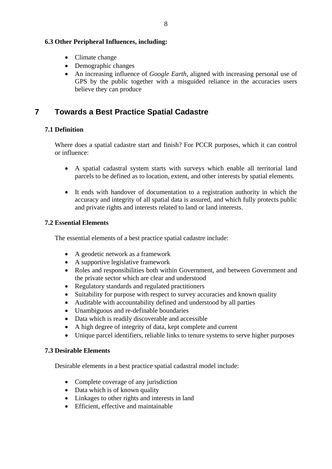## **6.3 Other Peripheral Influences, including:**

- Climate change
- Demographic changes
- An increasing influence of *Google Earth*, aligned with increasing personal use of GPS by the public together with a misguided reliance in the accuracies users believe they can produce

## **7 Towards a Best Practice Spatial Cadastre**

## **7.1 Definition**

Where does a spatial cadastre start and finish? For PCCR purposes, which it can control or influence:

- A spatial cadastral system starts with surveys which enable all territorial land parcels to be defined as to location, extent, and other interests by spatial elements.
- It ends with handover of documentation to a registration authority in which the accuracy and integrity of all spatial data is assured, and which fully protects public and private rights and interests related to land or land interests.

#### **7.2 Essential Elements**

The essential elements of a best practice spatial cadastre include:

- A geodetic network as a framework
- A supportive legislative framework
- Roles and responsibilities both within Government, and between Government and the private sector which are clear and understood
- Regulatory standards and regulated practitioners
- Suitability for purpose with respect to survey accuracies and known quality
- Auditable with accountability defined and understood by all parties
- Unambiguous and re-definable boundaries
- Data which is readily discoverable and accessible
- A high degree of integrity of data, kept complete and current
- Unique parcel identifiers, reliable links to tenure systems to serve higher purposes

#### **7.3 Desirable Elements**

Desirable elements in a best practice spatial cadastral model include:

- Complete coverage of any jurisdiction
- Data which is of known quality
- Linkages to other rights and interests in land
- Efficient, effective and maintainable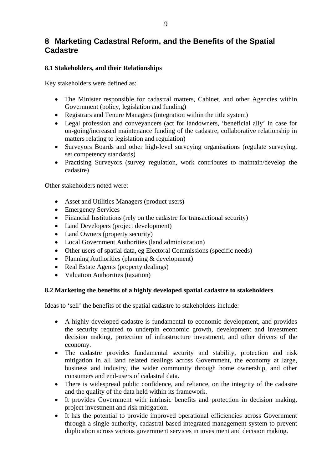## **8 Marketing Cadastral Reform, and the Benefits of the Spatial Cadastre**

## **8.1 Stakeholders, and their Relationships**

Key stakeholders were defined as:

- The Minister responsible for cadastral matters, Cabinet, and other Agencies within Government (policy, legislation and funding)
- Registrars and Tenure Managers (integration within the title system)
- Legal profession and conveyancers (act for landowners, 'beneficial ally' in case for on-going/increased maintenance funding of the cadastre, collaborative relationship in matters relating to legislation and regulation)
- Surveyors Boards and other high-level surveying organisations (regulate surveying, set competency standards)
- Practising Surveyors (survey regulation, work contributes to maintain/develop the cadastre)

Other stakeholders noted were:

- Asset and Utilities Managers (product users)
- Emergency Services
- Financial Institutions (rely on the cadastre for transactional security)
- Land Developers (project development)
- Land Owners (property security)
- Local Government Authorities (land administration)
- Other users of spatial data, eg Electoral Commissions (specific needs)
- Planning Authorities (planning & development)
- Real Estate Agents (property dealings)
- Valuation Authorities (taxation)

#### **8.2 Marketing the benefits of a highly developed spatial cadastre to stakeholders**

Ideas to 'sell' the benefits of the spatial cadastre to stakeholders include:

- A highly developed cadastre is fundamental to economic development, and provides the security required to underpin economic growth, development and investment decision making, protection of infrastructure investment, and other drivers of the economy.
- The cadastre provides fundamental security and stability, protection and risk mitigation in all land related dealings across Government, the economy at large, business and industry, the wider community through home ownership, and other consumers and end-users of cadastral data.
- There is widespread public confidence, and reliance, on the integrity of the cadastre and the quality of the data held within its framework.
- It provides Government with intrinsic benefits and protection in decision making, project investment and risk mitigation.
- It has the potential to provide improved operational efficiencies across Government through a single authority, cadastral based integrated management system to prevent duplication across various government services in investment and decision making.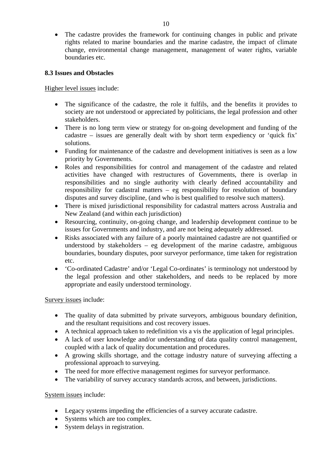• The cadastre provides the framework for continuing changes in public and private rights related to marine boundaries and the marine cadastre, the impact of climate change, environmental change management, management of water rights, variable boundaries etc.

#### **8.3 Issues and Obstacles**

Higher level issues include:

- The significance of the cadastre, the role it fulfils, and the benefits it provides to society are not understood or appreciated by politicians, the legal profession and other stakeholders.
- There is no long term view or strategy for on-going development and funding of the cadastre – issues are generally dealt with by short term expediency or 'quick fix' solutions.
- Funding for maintenance of the cadastre and development initiatives is seen as a low priority by Governments.
- Roles and responsibilities for control and management of the cadastre and related activities have changed with restructures of Governments, there is overlap in responsibilities and no single authority with clearly defined accountability and responsibility for cadastral matters – eg responsibility for resolution of boundary disputes and survey discipline, (and who is best qualified to resolve such matters).
- There is mixed jurisdictional responsibility for cadastral matters across Australia and New Zealand (and within each jurisdiction)
- Resourcing, continuity, on-going change, and leadership development continue to be issues for Governments and industry, and are not being adequately addressed.
- Risks associated with any failure of a poorly maintained cadastre are not quantified or understood by stakeholders – eg development of the marine cadastre, ambiguous boundaries, boundary disputes, poor surveyor performance, time taken for registration etc.
- 'Co-ordinated Cadastre' and/or 'Legal Co-ordinates' is terminology not understood by the legal profession and other stakeholders, and needs to be replaced by more appropriate and easily understood terminology.

Survey issues include:

- The quality of data submitted by private surveyors, ambiguous boundary definition, and the resultant requisitions and cost recovery issues.
- A technical approach taken to redefinition vis a vis the application of legal principles.
- A lack of user knowledge and/or understanding of data quality control management, coupled with a lack of quality documentation and procedures.
- A growing skills shortage, and the cottage industry nature of surveying affecting a professional approach to surveying.
- The need for more effective management regimes for surveyor performance.
- The variability of survey accuracy standards across, and between, jurisdictions.

System issues include:

- Legacy systems impeding the efficiencies of a survey accurate cadastre.
- Systems which are too complex.
- System delays in registration.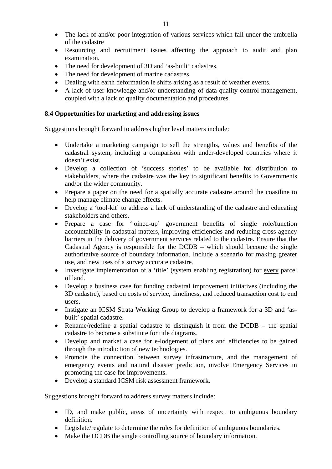- The lack of and/or poor integration of various services which fall under the umbrella of the cadastre
- Resourcing and recruitment issues affecting the approach to audit and plan examination.
- The need for development of 3D and 'as-built' cadastres.
- The need for development of marine cadastres.
- Dealing with earth deformation ie shifts arising as a result of weather events.
- A lack of user knowledge and/or understanding of data quality control management, coupled with a lack of quality documentation and procedures.

## **8.4 Opportunities for marketing and addressing issues**

Suggestions brought forward to address higher level matters include:

- Undertake a marketing campaign to sell the strengths, values and benefits of the cadastral system, including a comparison with under-developed countries where it doesn't exist.
- Develop a collection of 'success stories' to be available for distribution to stakeholders, where the cadastre was the key to significant benefits to Governments and/or the wider community.
- Prepare a paper on the need for a spatially accurate cadastre around the coastline to help manage climate change effects.
- Develop a 'tool-kit' to address a lack of understanding of the cadastre and educating stakeholders and others.
- Prepare a case for 'joined-up' government benefits of single role/function accountability in cadastral matters, improving efficiencies and reducing cross agency barriers in the delivery of government services related to the cadastre. Ensure that the Cadastral Agency is responsible for the DCDB – which should become the single authoritative source of boundary information. Include a scenario for making greater use, and new uses of a survey accurate cadastre.
- Investigate implementation of a 'title' (system enabling registration) for every parcel of land.
- Develop a business case for funding cadastral improvement initiatives (including the 3D cadastre), based on costs of service, timeliness, and reduced transaction cost to end users.
- Instigate an ICSM Strata Working Group to develop a framework for a 3D and 'asbuilt' spatial cadastre.
- Rename/redefine a spatial cadastre to distinguish it from the DCDB the spatial cadastre to become a substitute for title diagrams.
- Develop and market a case for e-lodgement of plans and efficiencies to be gained through the introduction of new technologies.
- Promote the connection between survey infrastructure, and the management of emergency events and natural disaster prediction, involve Emergency Services in promoting the case for improvements.
- Develop a standard ICSM risk assessment framework.

Suggestions brought forward to address survey matters include:

- ID, and make public, areas of uncertainty with respect to ambiguous boundary definition.
- Legislate/regulate to determine the rules for definition of ambiguous boundaries.
- Make the DCDB the single controlling source of boundary information.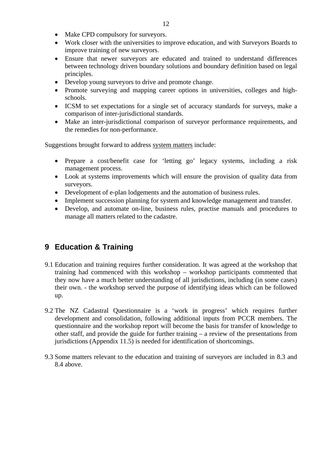- Make CPD compulsory for surveyors.
- Work closer with the universities to improve education, and with Surveyors Boards to improve training of new surveyors.
- Ensure that newer surveyors are educated and trained to understand differences between technology driven boundary solutions and boundary definition based on legal principles.
- Develop young surveyors to drive and promote change.
- Promote surveying and mapping career options in universities, colleges and highschools.
- ICSM to set expectations for a single set of accuracy standards for surveys, make a comparison of inter-jurisdictional standards.
- Make an inter-jurisdictional comparison of surveyor performance requirements, and the remedies for non-performance.

Suggestions brought forward to address system matters include:

- Prepare a cost/benefit case for 'letting go' legacy systems, including a risk management process.
- Look at systems improvements which will ensure the provision of quality data from surveyors.
- Development of e-plan lodgements and the automation of business rules.
- Implement succession planning for system and knowledge management and transfer.
- Develop, and automate on-line, business rules, practise manuals and procedures to manage all matters related to the cadastre.

## **9 Education & Training**

- 9.1 Education and training requires further consideration. It was agreed at the workshop that training had commenced with this workshop – workshop participants commented that they now have a much better understanding of all jurisdictions, including (in some cases) their own. - the workshop served the purpose of identifying ideas which can be followed up.
- 9.2 The NZ Cadastral Questionnaire is a 'work in progress' which requires further development and consolidation, following additional inputs from PCCR members. The questionnaire and the workshop report will become the basis for transfer of knowledge to other staff, and provide the guide for further training – a review of the presentations from jurisdictions (Appendix 11.5) is needed for identification of shortcomings.
- 9.3 Some matters relevant to the education and training of surveyors are included in 8.3 and 8.4 above.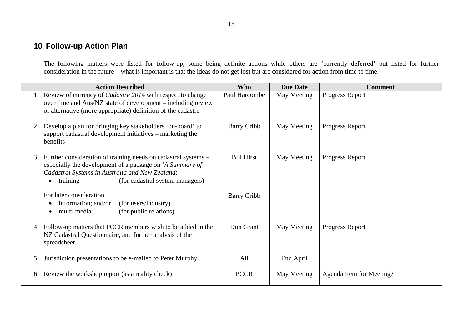## **10 Follow-up Action Plan**

The following matters were listed for follow-up, some being definite actions while others are 'currently deferred' but listed for further consideration in the future – what is important is that the ideas do not get lost but are considered for action from time to time.

|   | <b>Action Described</b>                                                                                                                                                                                                                   | <b>Who</b>         | <b>Due Date</b> | <b>Comment</b>           |
|---|-------------------------------------------------------------------------------------------------------------------------------------------------------------------------------------------------------------------------------------------|--------------------|-----------------|--------------------------|
|   | Review of currency of <i>Cadastre 2014</i> with respect to change<br>over time and Aus/NZ state of development – including review<br>of alternative (more appropriate) definition of the cadastre                                         | Paul Harcombe      | May Meeting     | Progress Report          |
| 2 | Develop a plan for bringing key stakeholders 'on-board' to<br>support cadastral development initiatives - marketing the<br>benefits                                                                                                       | <b>Barry Cribb</b> | May Meeting     | Progress Report          |
| 3 | Further consideration of training needs on cadastral systems –<br>especially the development of a package on 'A Summary of<br>Cadastral Systems in Australia and New Zealand:<br>(for cadastral system managers)<br>training<br>$\bullet$ | <b>Bill Hirst</b>  | May Meeting     | Progress Report          |
|   | For later consideration<br>(for users/industry)<br>information; and/or<br>$\bullet$<br>multi-media<br>(for public relations)<br>$\bullet$                                                                                                 | <b>Barry Cribb</b> |                 |                          |
| 4 | Follow-up matters that PCCR members wish to be added in the<br>NZ Cadastral Questionnaire, and further analysis of the<br>spreadsheet                                                                                                     | Don Grant          | May Meeting     | Progress Report          |
| 5 | Jurisdiction presentations to be e-mailed to Peter Murphy                                                                                                                                                                                 | All                | End April       |                          |
| 6 | Review the workshop report (as a reality check)                                                                                                                                                                                           | <b>PCCR</b>        | May Meeting     | Agenda Item for Meeting? |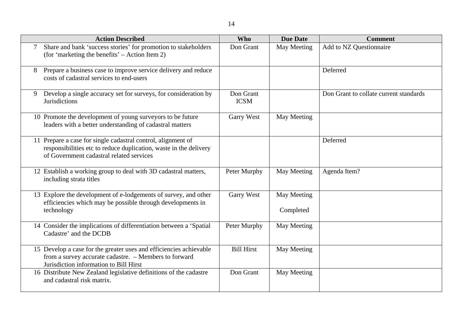14

|   | <b>Action Described</b>                                                                                                                                                       | <b>Who</b>               | <b>Due Date</b>          | <b>Comment</b>                         |
|---|-------------------------------------------------------------------------------------------------------------------------------------------------------------------------------|--------------------------|--------------------------|----------------------------------------|
| 7 | Share and bank 'success stories' for promotion to stakeholders<br>(for 'marketing the benefits' – Action Item 2)                                                              | Don Grant                | May Meeting              | Add to NZ Questionnaire                |
| 8 | Prepare a business case to improve service delivery and reduce<br>costs of cadastral services to end-users                                                                    |                          |                          | Deferred                               |
| 9 | Develop a single accuracy set for surveys, for consideration by<br><b>Jurisdictions</b>                                                                                       | Don Grant<br><b>ICSM</b> |                          | Don Grant to collate current standards |
|   | 10 Promote the development of young surveyors to be future<br>leaders with a better understanding of cadastral matters                                                        | <b>Garry West</b>        | May Meeting              |                                        |
|   | 11 Prepare a case for single cadastral control, alignment of<br>responsibilities etc to reduce duplication, waste in the delivery<br>of Government cadastral related services |                          |                          | Deferred                               |
|   | 12 Establish a working group to deal with 3D cadastral matters,<br>including strata titles                                                                                    | Peter Murphy             | May Meeting              | Agenda Item?                           |
|   | 13 Explore the development of e-lodgements of survey, and other<br>efficiencies which may be possible through developments in<br>technology                                   | <b>Garry West</b>        | May Meeting<br>Completed |                                        |
|   | 14 Consider the implications of differentiation between a 'Spatial<br>Cadastre' and the DCDB                                                                                  | Peter Murphy             | May Meeting              |                                        |
|   | 15 Develop a case for the greater uses and efficiencies achievable<br>from a survey accurate cadastre. - Members to forward<br>Jurisdiction information to Bill Hirst         | <b>Bill Hirst</b>        | May Meeting              |                                        |
|   | 16 Distribute New Zealand legislative definitions of the cadastre<br>and cadastral risk matrix.                                                                               | Don Grant                | May Meeting              |                                        |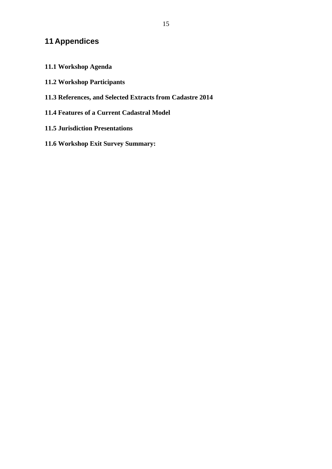## **11 Appendices**

- **11.1 Workshop Agenda**
- **11.2 Workshop Participants**
- **11.3 References, and Selected Extracts from Cadastre 2014**
- **11.4 Features of a Current Cadastral Model**
- **11.5 Jurisdiction Presentations**
- **11.6 Workshop Exit Survey Summary:**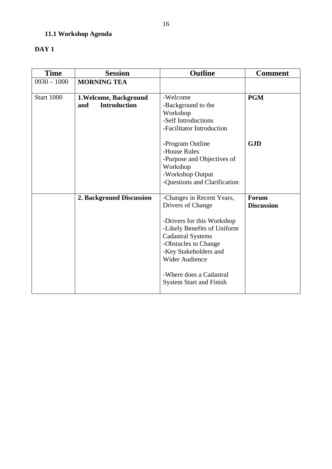## **11.1 Workshop Agenda**

## **DAY 1**

| <b>Time</b>       | <b>Session</b>             | <b>Outline</b>                 | <b>Comment</b>    |
|-------------------|----------------------------|--------------------------------|-------------------|
| $0930 - 1000$     | <b>MORNING TEA</b>         |                                |                   |
|                   |                            |                                |                   |
| <b>Start 1000</b> | 1. Welcome, Background     | -Welcome                       | <b>PGM</b>        |
|                   | <b>Introduction</b><br>and | -Background to the             |                   |
|                   |                            | Workshop                       |                   |
|                   |                            | -Self Introductions            |                   |
|                   |                            | -Facilitator Introduction      |                   |
|                   |                            | -Program Outline               | <b>GJD</b>        |
|                   |                            | -House Rules                   |                   |
|                   |                            | -Purpose and Objectives of     |                   |
|                   |                            | Workshop                       |                   |
|                   |                            | -Workshop Output               |                   |
|                   |                            | -Questions and Clarification   |                   |
|                   |                            |                                |                   |
|                   | 2. Background Discussion   | -Changes in Recent Years,      | Forum             |
|                   |                            | Drivers of Change              | <b>Discussion</b> |
|                   |                            | -Drivers for this Workshop     |                   |
|                   |                            | -Likely Benefits of Uniform    |                   |
|                   |                            | <b>Cadastral Systems</b>       |                   |
|                   |                            | -Obstacles to Change           |                   |
|                   |                            | -Key Stakeholders and          |                   |
|                   |                            | <b>Wider Audience</b>          |                   |
|                   |                            |                                |                   |
|                   |                            | -Where does a Cadastral        |                   |
|                   |                            | <b>System Start and Finish</b> |                   |
|                   |                            |                                |                   |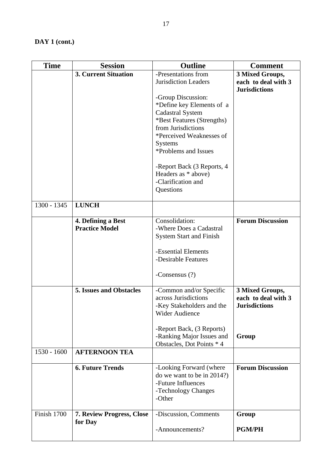| <b>Time</b>   | <b>Session</b>                              | <b>Outline</b>                                                                                                                                                                                                                                            | <b>Comment</b>                                                 |
|---------------|---------------------------------------------|-----------------------------------------------------------------------------------------------------------------------------------------------------------------------------------------------------------------------------------------------------------|----------------------------------------------------------------|
|               | <b>3. Current Situation</b>                 | -Presentations from                                                                                                                                                                                                                                       | 3 Mixed Groups,                                                |
|               |                                             | Jurisdiction Leaders                                                                                                                                                                                                                                      | each to deal with 3                                            |
|               |                                             | -Group Discussion:<br>*Define key Elements of a<br><b>Cadastral System</b><br>*Best Features (Strengths)<br>from Jurisdictions<br>*Perceived Weaknesses of<br><b>Systems</b><br>*Problems and Issues<br>-Report Back (3 Reports, 4<br>Headers as * above) | <b>Jurisdictions</b>                                           |
|               |                                             | -Clarification and<br>Questions                                                                                                                                                                                                                           |                                                                |
| 1300 - 1345   | <b>LUNCH</b>                                |                                                                                                                                                                                                                                                           |                                                                |
|               | 4. Defining a Best<br><b>Practice Model</b> | Consolidation:<br>-Where Does a Cadastral<br><b>System Start and Finish</b><br>-Essential Elements<br>-Desirable Features<br>-Consensus $(?)$                                                                                                             | <b>Forum Discussion</b>                                        |
|               | <b>5. Issues and Obstacles</b>              | -Common and/or Specific<br>across Jurisdictions<br>-Key Stakeholders and the<br>Wider Audience<br>-Report Back, (3 Reports)                                                                                                                               | 3 Mixed Groups,<br>each to deal with 3<br><b>Jurisdictions</b> |
|               |                                             | -Ranking Major Issues and<br>Obstacles, Dot Points * 4                                                                                                                                                                                                    | Group                                                          |
| $1530 - 1600$ | <b>AFTERNOON TEA</b>                        |                                                                                                                                                                                                                                                           |                                                                |
|               | <b>6. Future Trends</b>                     | -Looking Forward (where<br>do we want to be in 2014?)<br>-Future Influences<br>-Technology Changes<br>-Other                                                                                                                                              | <b>Forum Discussion</b>                                        |
| Finish 1700   | 7. Review Progress, Close<br>for Day        | -Discussion, Comments<br>-Announcements?                                                                                                                                                                                                                  | Group<br><b>PGM/PH</b>                                         |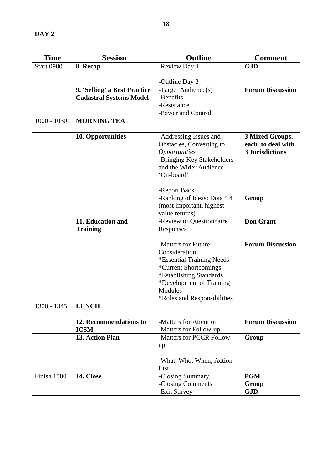| <b>Time</b>       | <b>Session</b>                 | <b>Outline</b>                            | <b>Comment</b>          |
|-------------------|--------------------------------|-------------------------------------------|-------------------------|
| <b>Start 0900</b> | 8. Recap                       | -Review Day 1                             | <b>GJD</b>              |
|                   |                                |                                           |                         |
|                   |                                | -Outline Day 2                            |                         |
|                   | 9. 'Selling' a Best Practice   | -Target Audience(s)                       | <b>Forum Discussion</b> |
|                   | <b>Cadastral Systems Model</b> | -Benefits                                 |                         |
|                   |                                | -Resistance                               |                         |
|                   |                                | -Power and Control                        |                         |
| $1000 - 1030$     | <b>MORNING TEA</b>             |                                           |                         |
|                   | 10. Opportunities              | -Addressing Issues and                    | 3 Mixed Groups,         |
|                   |                                | Obstacles, Converting to                  | each to deal with       |
|                   |                                | <i><b>Opportunities</b></i>               | <b>3 Jurisdictions</b>  |
|                   |                                | -Bringing Key Stakeholders                |                         |
|                   |                                | and the Wider Audience                    |                         |
|                   |                                | 'On-board'                                |                         |
|                   |                                |                                           |                         |
|                   |                                | -Report Back                              |                         |
|                   |                                | -Ranking of Ideas: Dots * 4               | Group                   |
|                   |                                | (most important, highest                  |                         |
|                   |                                | value returns)                            |                         |
|                   | 11. Education and              | -Review of Questionnaire                  | <b>Don Grant</b>        |
|                   | <b>Training</b>                | Responses                                 |                         |
|                   |                                |                                           |                         |
|                   |                                | -Matters for Future                       | <b>Forum Discussion</b> |
|                   |                                | Consideration:                            |                         |
|                   |                                | <i>*Essential Training Needs</i>          |                         |
|                   |                                | *Current Shortcomings                     |                         |
|                   |                                | *Establishing Standards                   |                         |
|                   |                                | *Development of Training                  |                         |
|                   |                                | Modules                                   |                         |
|                   |                                | <i><b>*Roles and Responsibilities</b></i> |                         |
| 1300 - 1345       | <b>LUNCH</b>                   |                                           |                         |
|                   | 12. Recommendations to         | -Matters for Attention                    | <b>Forum Discussion</b> |
|                   | <b>ICSM</b>                    | -Matters for Follow-up                    |                         |
|                   | 13. Action Plan                | -Matters for PCCR Follow-                 | Group                   |
|                   |                                | up                                        |                         |
|                   |                                |                                           |                         |
|                   |                                | -What, Who, When, Action                  |                         |
|                   |                                | List                                      |                         |
| Finish 1500       | 14. Close                      | -Closing Summary                          | <b>PGM</b>              |
|                   |                                | -Closing Comments                         | Group                   |
|                   |                                | -Exit Survey                              | <b>GJD</b>              |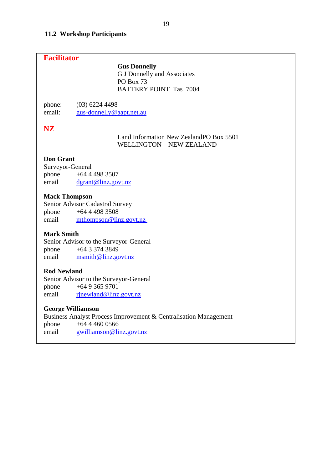## **11.2 Workshop Participants**

| <b>Facilitator</b>                                     |                                                                                                         |
|--------------------------------------------------------|---------------------------------------------------------------------------------------------------------|
|                                                        | <b>Gus Donnelly</b><br><b>G J Donnelly and Associates</b><br>PO Box 73<br><b>BATTERY POINT Tas 7004</b> |
| phone:                                                 | $(03)$ 6224 4498                                                                                        |
| email:                                                 | gus-donnelly@aapt.net.au                                                                                |
| <b>NZ</b>                                              | Land Information New ZealandPO Box 5501<br>WELLINGTON NEW ZEALAND                                       |
| <b>Don Grant</b><br>Surveyor-General<br>phone<br>email | $+6444983507$<br>dgrant@linz.govt.nz                                                                    |
| <b>Mack Thompson</b>                                   | Senior Advisor Cadastral Survey                                                                         |
| phone                                                  | $+6444983508$                                                                                           |
| email                                                  | mthompson@linz.govt.nz                                                                                  |
| <b>Mark Smith</b>                                      | Senior Advisor to the Surveyor-General                                                                  |
| phone                                                  | $+6433743849$                                                                                           |
| email                                                  | msmith@linz.govt.nz                                                                                     |
| <b>Rod Newland</b>                                     | Senior Advisor to the Surveyor-General                                                                  |
| phone                                                  | $+6493659701$                                                                                           |
| email                                                  | rjnewland@linz.govt.nz                                                                                  |
| <b>George Williamson</b>                               | Business Analyst Process Improvement & Centralisation Management                                        |
| phone                                                  | $+6444600566$                                                                                           |
| email                                                  | gwilliamson@linz.govt.nz                                                                                |
|                                                        |                                                                                                         |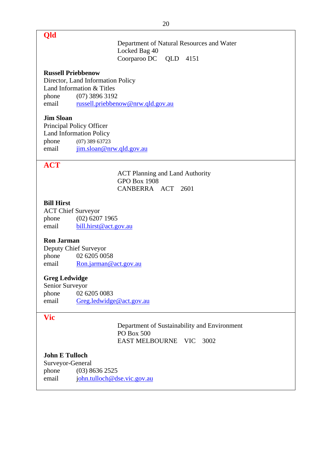**Qld** 

Department of Natural Resources and Water Locked Bag 40 Coorparoo DC QLD 4151

#### **Russell Priebbenow**

Director, Land Information Policy Land Information & Titles phone (07) 3896 3192 email [russell.priebbenow@nrw.qld.gov.au](mailto:russell.priebbenow@nrw.qld.gov.au)

#### **Jim Sloan**

Principal Policy Officer Land Information Policy phone (07) 389 63723 email jim.sloan@nrw.qld.gov.au

## **ACT**

ACT Planning and Land Authority GPO Box 1908 CANBERRA ACT 2601

#### **Bill Hirst**

ACT Chief Surveyor phone (02) 6207 1965 email bill.hirst@act.gov.au

#### **Ron Jarman**

Deputy Chief Surveyor phone 02 6205 0058 email [Ron.jarman@act.gov.au](mailto:Ron.jarman@act.gov.au)

#### **Greg Ledwidge**

Senior Surveyor phone 02 6205 0083 email Greg.ledwidge@act.gov.au

#### **Vic**

Department of Sustainability and Environment PO Box 500 EAST MELBOURNE VIC 3002

## **John E Tulloch**

Surveyor-General phone (03) 8636 2525 email [john.tulloch@dse.vic.gov.au](mailto:ohn.tulloch@dse.vic.gov.au)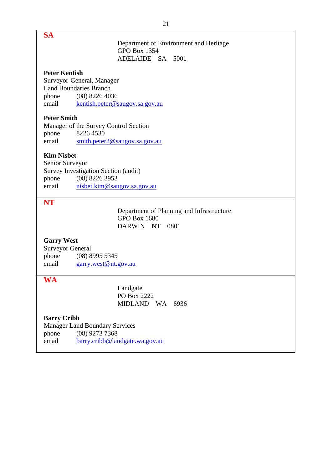| <b>SA</b>            |                                                            |
|----------------------|------------------------------------------------------------|
|                      | Department of Environment and Heritage                     |
|                      | <b>GPO Box 1354</b>                                        |
|                      | ADELAIDE SA 5001                                           |
|                      |                                                            |
| <b>Peter Kentish</b> |                                                            |
|                      | Surveyor-General, Manager<br><b>Land Boundaries Branch</b> |
| phone                | $(08)$ 8226 4036                                           |
| email                | kentish.peter@saugov.sa.gov.au                             |
|                      |                                                            |
| <b>Peter Smith</b>   |                                                            |
|                      | Manager of the Survey Control Section                      |
| phone                | 8226 4530                                                  |
| email                | smith.peter2@saugov.sa.gov.au                              |
| <b>Kim Nisbet</b>    |                                                            |
| Senior Surveyor      |                                                            |
|                      | Survey Investigation Section (audit)                       |
| phone                | $(08)$ 8226 3953                                           |
| email                | nisbet.kim@saugov.sa.gov.au                                |
|                      |                                                            |
|                      |                                                            |
| <b>NT</b>            |                                                            |
|                      | Department of Planning and Infrastructure                  |
|                      | <b>GPO Box 1680</b>                                        |
|                      | DARWIN NT 0801                                             |
|                      |                                                            |
| <b>Garry West</b>    |                                                            |
| Surveyor General     | $(08)$ 8995 5345                                           |
| phone<br>email       | garry.west@nt.gov.au                                       |
|                      |                                                            |
| <b>WA</b>            |                                                            |
|                      | Landgate                                                   |
|                      | PO Box 2222                                                |
|                      | MIDLAND WA 6936                                            |
| <b>Barry Cribb</b>   |                                                            |
|                      | <b>Manager Land Boundary Services</b>                      |
| phone                | $(08)$ 9273 7368                                           |
| email                | barry.cribb@landgate.wa.gov.au                             |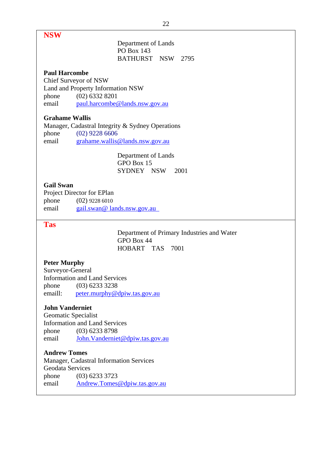## **NSW**

## Department of Lands PO Box 143 BATHURST NSW 2795

### **Paul Harcombe**

Chief Surveyor of NSW Land and Property Information NSW phone (02) 6332 8201 email [paul.harcombe@lands.nsw.gov.au](mailto:Paul.Harcombe@lands.nsw.gov.au)

## **Grahame Wallis**

Manager, Cadastral Integrity & Sydney Operations phone (02) 9228 6606 email [grahame.wallis@lands.nsw.gov.au](mailto:grahame.wallis@lands.nsw.gov.au)

> Department of Lands GPO Box 15 SYDNEY NSW 2001

#### **Gail Swan**

Project Director for EPlan phone (02) 9228 6010 email gail.swan@ lands.nsw.gov.au

## **Tas**

Department of Primary Industries and Water GPO Box 44 HOBART TAS 7001

#### **Peter Murphy**

Surveyor-General Information and Land Services phone (03) 6233 3238 emaill: [peter.murphy@dpiw.tas.gov.au](mailto:peter.murphy@dpiw.tas.gov.au)

#### **John Vanderniet**

Geomatic Specialist Information and Land Services phone (03) 6233 8798 email John.Vanderniet@dpiw.tas.gov.au

#### **Andrew Tomes**

Manager, Cadastral Information Services Geodata Services phone (03) 6233 3723 email [Andrew.Tomes@dpiw.tas.gov.au](mailto:Andrew.Tomes@dpiw.tas.gov.au)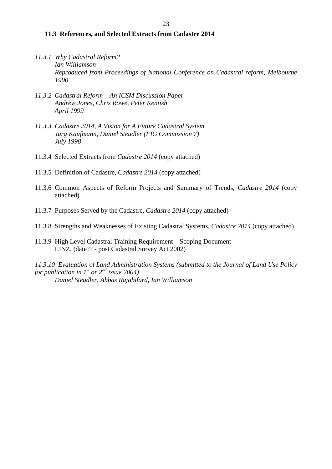#### **11.3 References, and Selected Extracts from Cadastre 2014**

- *11.3.1 Why Cadastral Reform? Ian Williamson Reproduced from Proceedings of National Conference on Cadastral reform, Melbourne 1990*
- *11.3.2 Cadastral Reform An ICSM Discussion Paper Andrew Jones, Chris Rowe, Peter Kentish April 1999*
- *11.3.3 Cadastre 2014, A Vision for A Future Cadastral System Jurg Kaufmann, Daniel Steudler (FIG Commission 7) July 1998*
- 11.3.4 Selected Extracts from *Cadastre 2014* (copy attached)
- 11.3.5 Definition of Cadastre, *Cadastre 2014* (copy attached)
- 11.3.6 Common Aspects of Reform Projects and Summary of Trends, *Cadastre 2014* (copy attached)
- 11.3.7 Purposes Served by the Cadastre, *Cadastre 2014* (copy attached)
- 11.3.8 Strengths and Weaknesses of Existing Cadastral Systems, *Cadastre 2014* (copy attached)
- 11.3.9 High Level Cadastral Training Requirement Scoping Document LINZ, (date?? - post Cadastral Survey Act 2002)

*11.3.10 Evaluation of Land Administration Systems (submitted to the Journal of Land Use Policy for publication in 1st or*  $2^{nd}$  *issue 2004) Daniel Steudler, Abbas Rajabifard, Ian Williamson*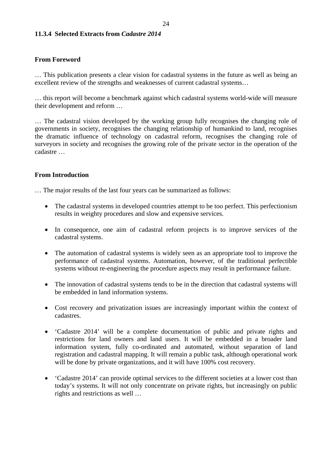#### **11.3.4 Selected Extracts from** *Cadastre 2014*

#### **From Foreword**

… This publication presents a clear vision for cadastral systems in the future as well as being an excellent review of the strengths and weaknesses of current cadastral systems…

… this report will become a benchmark against which cadastral systems world-wide will measure their development and reform …

… The cadastral vision developed by the working group fully recognises the changing role of governments in society, recognises the changing relationship of humankind to land, recognises the dramatic influence of technology on cadastral reform, recognises the changing role of surveyors in society and recognises the growing role of the private sector in the operation of the cadastre …

#### **From Introduction**

… The major results of the last four years can be summarized as follows:

- The cadastral systems in developed countries attempt to be too perfect. This perfectionism results in weighty procedures and slow and expensive services.
- In consequence, one aim of cadastral reform projects is to improve services of the cadastral systems.
- The automation of cadastral systems is widely seen as an appropriate tool to improve the performance of cadastral systems. Automation, however, of the traditional perfectible systems without re-engineering the procedure aspects may result in performance failure.
- The innovation of cadastral systems tends to be in the direction that cadastral systems will be embedded in land information systems.
- Cost recovery and privatization issues are increasingly important within the context of cadastres.
- 'Cadastre 2014' will be a complete documentation of public and private rights and restrictions for land owners and land users. It will be embedded in a broader land information system, fully co-ordinated and automated, without separation of land registration and cadastral mapping. It will remain a public task, although operational work will be done by private organizations, and it will have  $100\%$  cost recovery.
- 'Cadastre 2014' can provide optimal services to the different societies at a lower cost than today's systems. It will not only concentrate on private rights, but increasingly on public rights and restrictions as well …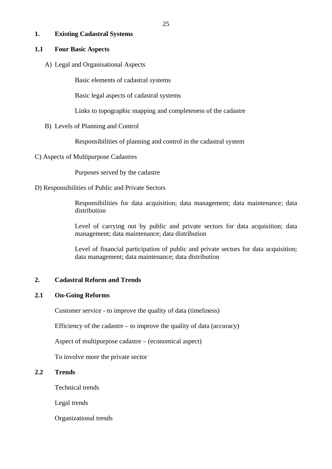## **1. Existing Cadastral Systems**

#### **1.1 Four Basic Aspects**

A) Legal and Organisational Aspects

Basic elements of cadastral systems

Basic legal aspects of cadastral systems

Links to topographic mapping and completeness of the cadastre

B) Levels of Planning and Control

Responsibilities of planning and control in the cadastral system

C) Aspects of Multipurpose Cadastres

Purposes served by the cadastre

D) Responsibilities of Public and Private Sectors

Responsibilities for data acquisition; data management; data maintenance; data distribution

Level of carrying out by public and private sectors for data acquisition; data management; data maintenance; data distribution

Level of financial participation of public and private sectors for data acquisition; data management; data maintenance; data distribution

## **2. Cadastral Reform and Trends**

## **2.1 On-Going Reforms**

Customer service - to improve the quality of data (timeliness)

Efficiency of the cadastre – to improve the quality of data (accuracy)

Aspect of multipurpose cadastre – (economical aspect)

To involve more the private sector

## **2.2 Trends**

Technical trends

Legal trends

Organizational trends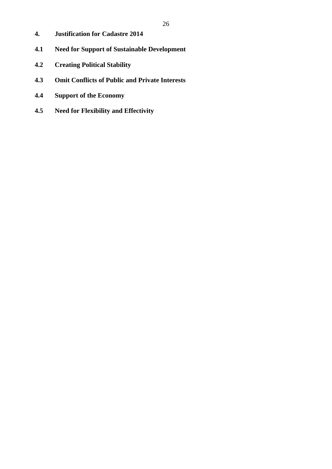- **4. Justification for Cadastre 2014**
- **4.1 Need for Support of Sustainable Development**
- **4.2 Creating Political Stability**
- **4.3 Omit Conflicts of Public and Private Interests**
- **4.4 Support of the Economy**
- **4.5 Need for Flexibility and Effectivity**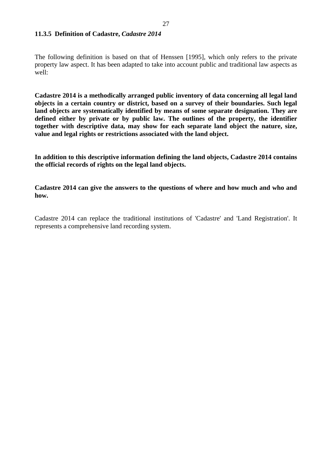#### **11.3.5 Definition of Cadastre,** *Cadastre 2014*

The following definition is based on that of Henssen [1995], which only refers to the private property law aspect. It has been adapted to take into account public and traditional law aspects as well:

**Cadastre 2014 is a methodically arranged public inventory of data concerning all legal land objects in a certain country or district, based on a survey of their boundaries. Such legal land objects are systematically identified by means of some separate designation. They are defined either by private or by public law. The outlines of the property, the identifier together with descriptive data, may show for each separate land object the nature, size, value and legal rights or restrictions associated with the land object.** 

**In addition to this descriptive information defining the land objects, Cadastre 2014 contains the official records of rights on the legal land objects.** 

**Cadastre 2014 can give the answers to the questions of where and how much and who and how.** 

Cadastre 2014 can replace the traditional institutions of 'Cadastre' and 'Land Registration'. It represents a comprehensive land recording system.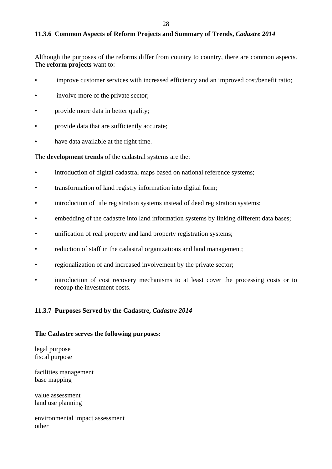## **11.3.6 Common Aspects of Reform Projects and Summary of Trends,** *Cadastre 2014*

Although the purposes of the reforms differ from country to country, there are common aspects. The **reform projects** want to:

- improve customer services with increased efficiency and an improved cost/benefit ratio;
- involve more of the private sector;
- provide more data in better quality;
- provide data that are sufficiently accurate;
- have data available at the right time.

The **development trends** of the cadastral systems are the:

- introduction of digital cadastral maps based on national reference systems;
- transformation of land registry information into digital form;
- introduction of title registration systems instead of deed registration systems;
- embedding of the cadastre into land information systems by linking different data bases;
- unification of real property and land property registration systems;
- reduction of staff in the cadastral organizations and land management;
- regionalization of and increased involvement by the private sector;
- introduction of cost recovery mechanisms to at least cover the processing costs or to recoup the investment costs.

#### **11.3.7 Purposes Served by the Cadastre,** *Cadastre 2014*

#### **The Cadastre serves the following purposes:**

legal purpose fiscal purpose

facilities management base mapping

value assessment land use planning

environmental impact assessment other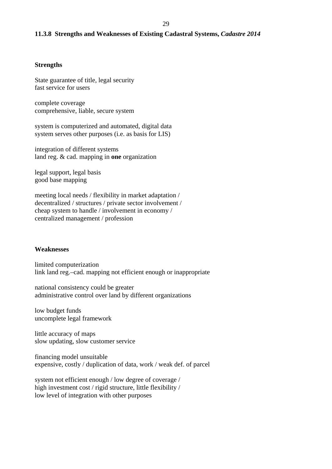### **11.3.8 Strengths and Weaknesses of Existing Cadastral Systems,** *Cadastre 2014*

#### **Strengths**

State guarantee of title, legal security fast service for users

complete coverage comprehensive, liable, secure system

system is computerized and automated, digital data system serves other purposes (i.e. as basis for LIS)

integration of different systems land reg. & cad. mapping in **one** organization

legal support, legal basis good base mapping

meeting local needs / flexibility in market adaptation / decentralized / structures / private sector involvement / cheap system to handle / involvement in economy / centralized management / profession

#### **Weaknesses**

limited computerization link land reg.–cad. mapping not efficient enough or inappropriate

national consistency could be greater administrative control over land by different organizations

low budget funds uncomplete legal framework

little accuracy of maps slow updating, slow customer service

financing model unsuitable expensive, costly / duplication of data, work / weak def. of parcel

system not efficient enough / low degree of coverage / high investment cost / rigid structure, little flexibility / low level of integration with other purposes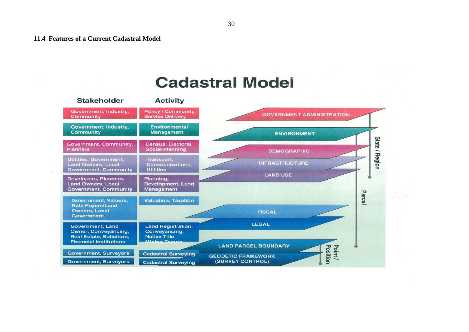# **Cadastral Model**

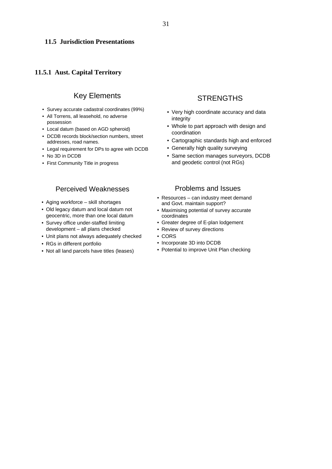#### **11.5 Jurisdiction Presentations**

#### **11.5.1 Aust. Capital Territory**

## Key Elements

- Survey accurate cadastral coordinates (99%)
- All Torrens, all leasehold, no adverse possession
- Local datum (based on AGD spheroid)
- DCDB records block/section numbers, street addresses, road names.
- Legal requirement for DPs to agree with DCDB
- No 3D in DCDB
- First Community Title in progress

## Perceived Weaknesses

- Aging workforce skill shortages
- Old legacy datum and local datum not geocentric, more than one local datum
- Survey office under-staffed limiting development – all plans checked
- Unit plans not always adequately checked
- RGs in different portfolio
- Not all land parcels have titles (leases)

## **STRENGTHS**

- Very high coordinate accuracy and data integrity
- Whole to part approach with design and coordination
- Cartographic standards high and enforced
- Generally high quality surveying
- Same section manages surveyors, DCDB and geodetic control (not RGs)

#### Problems and Issues

- Resources can industry meet demand and Govt. maintain support?
- Maximising potential of survey accurate coordinates
- Greater degree of E-plan lodgement
- Review of survey directions
- CORS
- Incorporate 3D into DCDB
- Potential to improve Unit Plan checking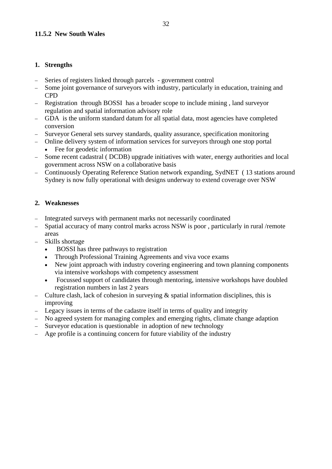## **11.5.2 New South Wales**

## **1. Strengths**

- − Series of registers linked through parcels government control
- Some joint governance of surveyors with industry, particularly in education, training and CPD
- − Registration through BOSSI has a broader scope to include mining , land surveyor regulation and spatial information advisory role
- − GDA is the uniform standard datum for all spatial data, most agencies have completed conversion
- − Surveyor General sets survey standards, quality assurance, specification monitoring
- − Online delivery system of information services for surveyors through one stop portal
	- Fee for geodetic information
- − Some recent cadastral ( DCDB) upgrade initiatives with water, energy authorities and local government across NSW on a collaborative basis
- − Continuously Operating Reference Station network expanding, SydNET ( 13 stations around Sydney is now fully operational with designs underway to extend coverage over NSW

## **2. Weaknesses**

- Integrated surveys with permanent marks not necessarily coordinated
- − Spatial accuracy of many control marks across NSW is poor , particularly in rural /remote areas
- − Skills shortage
	- BOSSI has three pathways to registration
	- Through Professional Training Agreements and viva voce exams
	- New joint approach with industry covering engineering and town planning components via intensive workshops with competency assessment
	- Focussed support of candidates through mentoring, intensive workshops have doubled registration numbers in last 2 years
- − Culture clash, lack of cohesion in surveying & spatial information disciplines, this is improving
- Legacy issues in terms of the cadastre itself in terms of quality and integrity
- No agreed system for managing complex and emerging rights, climate change adaption
- − Surveyor education is questionable in adoption of new technology
- Age profile is a continuing concern for future viability of the industry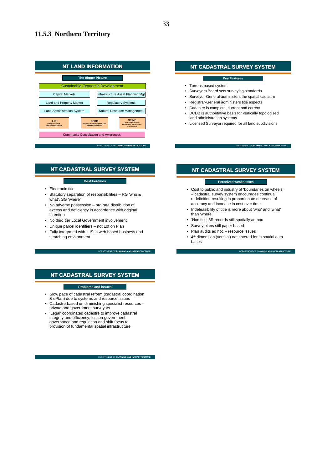$\mathbf{r}$ 

#### **11.5.3 Northern Territory**

| <b>NT LAND INFORMATION</b>                                    |                                                                              |  |                                                                                     |  |  |
|---------------------------------------------------------------|------------------------------------------------------------------------------|--|-------------------------------------------------------------------------------------|--|--|
| <b>The Bigger Picture</b>                                     |                                                                              |  |                                                                                     |  |  |
|                                                               | <b>Sustainable Economic Development</b>                                      |  |                                                                                     |  |  |
| <b>Capital Markets</b><br>Infrastructure Asset Planning/Mgt   |                                                                              |  |                                                                                     |  |  |
| Land and Property Market<br><b>Regulatory Systems</b>         |                                                                              |  |                                                                                     |  |  |
|                                                               | <b>Land Administration System</b><br>Natural Resource Management             |  |                                                                                     |  |  |
| <b>ILIS</b><br>(Integrated Land<br><b>Information System)</b> | <b>DCDB</b><br>(Digital Cadastral / Spatial Data<br><b>Base Environment)</b> |  | <b>NRIME</b><br>(Natural Resources<br><b>Information Management</b><br>Environment) |  |  |
| <b>Community Consultation and Awareness</b>                   |                                                                              |  |                                                                                     |  |  |
| DEPARTMENT OF PLANNING AND INFRASTRUCTURE                     |                                                                              |  |                                                                                     |  |  |

#### **NT CADASTRAL SURVEY SYSTEM**

#### **Best Features**

- Electronic title
- Statutory separation of responsibilities RG 'who & what', SG 'where'
- No adverse possession pro rata distribution of excess and deficiency in accordance with original intention
- No third tier Local Government involvement
- Unique parcel identifiers not Lot on Plan
- Fully integrated with ILIS in web based business and searching environment

## **NT CADASTRAL SURVEY SYSTEM**

#### **Problems and issues**

- Slow pace of cadastral reform (cadastral coordination & ePlan) due to systems and resource issues
- Cadastre based on diminishing specialist resources private and government surveyors
- 'Legal' coordinated cadastre to improve cadastral integrity and efficiency, lessen government governance and regulation and shift focus to provision of fundamental spatial infrastructure

DEPARTMENT OF **PLANNING AND INFRASTRUCTURE**

DEPARTMENT OF **PLANNING AND INFRASTRUCTURE**

#### **NT CADASTRAL SURVEY SYSTEM**

#### **Key Feature**

- Torrens based system
- Surveyors Board sets surveying standards
- Surveyor-General administers the spatial cadastre
- Registrar-General administers title aspects
- Cadastre is complete, current and correct
- DCDB is authoritative basis for vertically topologised land administration systems
- Licensed Surveyor required for all land subdivisions

#### **NT CADASTRAL SURVEY SYSTEM NT CADASTRAL SURVEY SYSTEM**

**DEPLANNING AND INFRASTRUCTE** 

DEPARTMENT OF **PLANNING AND INFRASTRUCTURE**

#### **Perceived weaknesses**

- Cost to public and industry of 'boundaries on wheels' – cadastral survey system encourages continual redefinition resulting in proportionate decrease of accuracy and increase in cost over time
- Indefeasibility of title is more about 'who' and 'what' than 'where'
- 'Non title' 3R records still spatially ad hoc
- Survey plans still paper based
- Plan audits ad hoc resource issues
- 4th dimension (vertical) not catered for in spatial data bases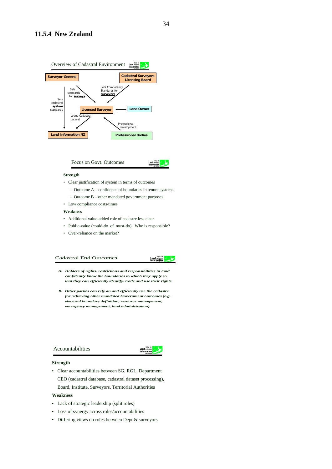![](_page_34_Figure_1.jpeg)

Focus on Govt. Outcomes

#### **Strength**

- Clear justification of system in terms of outcomes
	- Outcome A confidence of boundaries in tenure systems
	- Outcome B other mandated government purposes
- Low compliance costs/times

#### **Weakness**

- Additional value-added role of cadastre less clear
- Public-value (could-do cf must-do). Who is responsible?
- Over-reliance on the market?

#### Cadastral End Outcomes

#### Toitu te<br>Land whense<br>Information

- *A. Holders of rights, restrictions and responsibilities in land confidently know the boundaries to which they apply so that they can efficiently identify, trade and use their rights*
- *B. Other parties can rely on and efficiently use the cadastre for achieving other mandated Government outcomes (e.g. electoral boundary definition, resource management, emergency management, land administration)*

#### Accountabilities

![](_page_34_Picture_18.jpeg)

#### **Strength**

• Clear accountabilities between SG, RGL, Department CEO (cadastral database, cadastral dataset processing), Board, Institute, Surveyors, Territorial Authorities

#### **Weakness**

- Lack of strategic leadership (split roles)
- Loss of synergy across roles/accountabilities
- Differing views on roles between Dept & surveyors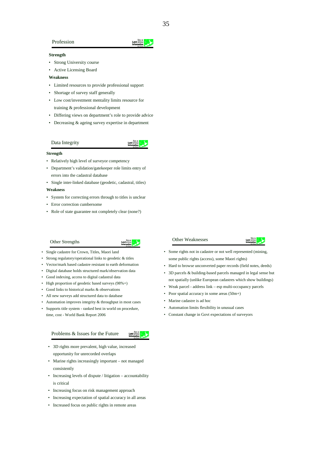#### Profession

#### **Strength**

- Strong University course
- Active Licensing Board

#### **Weakness**

- Limited resources to provide professional support
- Shortage of survey staff generally
- Low cost/investment mentality limits resource for training & professional development
- Differing views on department's role to provide advice
- Decreasing & ageing survey expertise in department

#### Data Integrity

#### **Strength**

- Relatively high level of surveyor competency
- Department's validation/gatekeeper role limits entry of errors into the cadastral database
- Single inter-linked database (geodetic, cadastral, titles) **Weakness**
- System for correcting errors through to titles is unclear
- Error correction cumbersome
- Role of state guarantee not completely clear (none?)

#### Other Strengths

- Single cadastre for Crown, Titles, Maori land
- Strong regulatory/operational links to geodetic & titles
- Vector/mark based cadastre resistant to earth deformation
- Digital database holds structured mark/observation data
- Good indexing, access to digital cadastral data
- High proportion of geodetic based surveys (98%+)
- Good links to historical marks & observations
- All new surveys add structured data to database
- Automation improves integrity & throughput in most cases
- Supports title system ranked best in world on procedure, time, cost - World Bank Report 2006

#### Problems & Issues for the Future

- 3D rights more prevalent, high value, increased opportunity for unrecorded overlaps
- Marine rights increasingly important not managed consistently
- Increasing levels of dispute / litigation accountability is critical
- Increasing focus on risk management approach
- Increasing expectation of spatial accuracy in all areas
- Increased focus on public rights in remote areas

#### Other Weaknesses

![](_page_35_Picture_40.jpeg)

- Some rights not in cadastre or not well represented (mining, some public rights (access), some Maori rights)
- Hard to browse unconverted paper records (field notes, deeds)
- 3D parcels & building-based parcels managed in legal sense but not spatially (unlike European cadastres which show buildings)
- Weak parcel address link esp multi-occupancy parcels
- Poor spatial accuracy in some areas (50m+)
- Marine cadastre is ad hoc
- Automation limits flexibility in unusual cases
- Constant change in Govt expectations of surveyors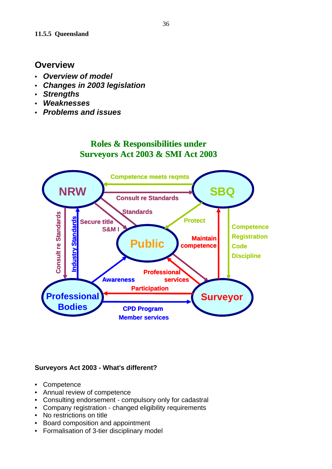## **Overview**

- *Overview of model*
- *Changes in 2003 legislation*
- *Strengths*
- *Weaknesses*
- *Problems and issues*

## **Roles & Responsibilities under Surveyors Act 2003 & SMI Act 2003**

![](_page_36_Figure_8.jpeg)

## **Surveyors Act 2003 - What's different?**

- Competence
- Annual review of competence
- Consulting endorsement compulsory only for cadastral
- Company registration changed eligibility requirements
- No restrictions on title
- Board composition and appointment
- Formalisation of 3-tier disciplinary model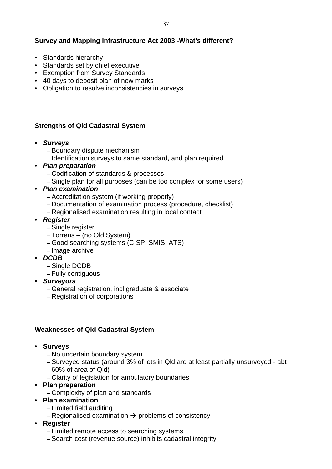## **Survey and Mapping Infrastructure Act 2003 -What's different?**

- Standards hierarchy
- Standards set by chief executive
- Exemption from Survey Standards
- 40 days to deposit plan of new marks
- Obligation to resolve inconsistencies in surveys

## **Strengths of Qld Cadastral System**

- *Surveys* 
	- Boundary dispute mechanism
	- Identification surveys to same standard, and plan required
- *Plan preparation* 
	- Codification of standards & processes
	- Single plan for all purposes (can be too complex for some users)
- *Plan examination* 
	- Accreditation system (if working properly)
	- Documentation of examination process (procedure, checklist)
	- Regionalised examination resulting in local contact
- *Register* 
	- Single register
	- Torrens (no Old System)
	- Good searching systems (CISP, SMIS, ATS)
	- Image archive
- *DCDB* 
	- Single DCDB
	- Fully contiguous
- *Surveyors* 
	- General registration, incl graduate & associate
	- Registration of corporations

## **Weaknesses of Qld Cadastral System**

- **Surveys** 
	- No uncertain boundary system
	- Surveyed status (around 3% of lots in Qld are at least partially unsurveyed abt 60% of area of Qld)
	- Clarity of legislation for ambulatory boundaries
- **Plan preparation** 
	- Complexity of plan and standards
- **Plan examination** 
	- Limited field auditing
	- Regionalised examination  $\rightarrow$  problems of consistency
- **Register** 
	- Limited remote access to searching systems
	- Search cost (revenue source) inhibits cadastral integrity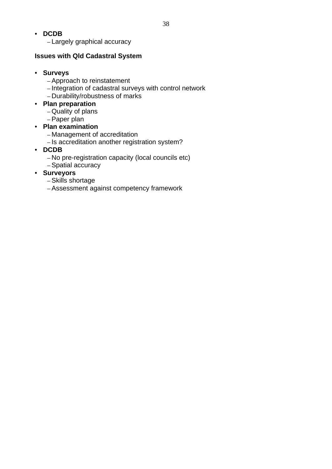- **DCDB** 
	- Largely graphical accuracy

## **Issues with Qld Cadastral System**

## • **Surveys**

- Approach to reinstatement
- Integration of cadastral surveys with control network
- Durability/robustness of marks

## • **Plan preparation**

- Quality of plans
- Paper plan

## • **Plan examination**

- Management of accreditation
- Is accreditation another registration system?
- **DCDB** 
	- No pre-registration capacity (local councils etc)
	- Spatial accuracy
- **Surveyors** 
	- Skills shortage
	- Assessment against competency framework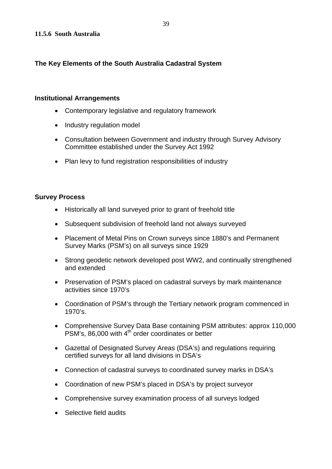## **The Key Elements of the South Australia Cadastral System**

#### **Institutional Arrangements**

- Contemporary legislative and regulatory framework
- Industry regulation model
- Consultation between Government and industry through Survey Advisory Committee established under the Survey Act 1992
- Plan levy to fund registration responsibilities of industry

## **Survey Process**

- Historically all land surveyed prior to grant of freehold title
- Subsequent subdivision of freehold land not always surveyed
- Placement of Metal Pins on Crown surveys since 1880's and Permanent Survey Marks (PSM's) on all surveys since 1929
- Strong geodetic network developed post WW2, and continually strengthened and extended
- Preservation of PSM's placed on cadastral surveys by mark maintenance activities since 1970's
- Coordination of PSM's through the Tertiary network program commenced in 1970's.
- Comprehensive Survey Data Base containing PSM attributes: approx 110,000 PSM's, 86,000 with 4<sup>th</sup> order coordinates or better
- Gazettal of Designated Survey Areas (DSA's) and regulations requiring certified surveys for all land divisions in DSA's
- Connection of cadastral surveys to coordinated survey marks in DSA's
- Coordination of new PSM's placed in DSA's by project surveyor
- Comprehensive survey examination process of all surveys lodged
- Selective field audits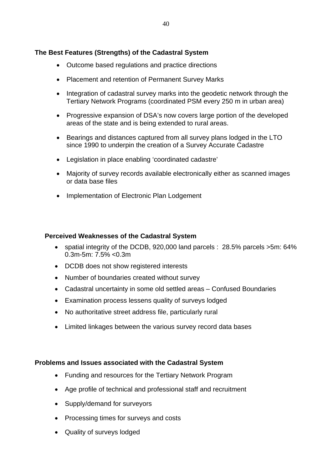## **The Best Features (Strengths) of the Cadastral System**

- Outcome based regulations and practice directions
- Placement and retention of Permanent Survey Marks
- Integration of cadastral survey marks into the geodetic network through the Tertiary Network Programs (coordinated PSM every 250 m in urban area)
- Progressive expansion of DSA's now covers large portion of the developed areas of the state and is being extended to rural areas.
- Bearings and distances captured from all survey plans lodged in the LTO since 1990 to underpin the creation of a Survey Accurate Cadastre
- Legislation in place enabling 'coordinated cadastre'
- Majority of survey records available electronically either as scanned images or data base files
- Implementation of Electronic Plan Lodgement

#### **Perceived Weaknesses of the Cadastral System**

- spatial integrity of the DCDB, 920,000 land parcels : 28.5% parcels >5m: 64% 0.3m-5m: 7.5% <0.3m
- DCDB does not show registered interests
- Number of boundaries created without survey
- Cadastral uncertainty in some old settled areas Confused Boundaries
- Examination process lessens quality of surveys lodged
- No authoritative street address file, particularly rural
- Limited linkages between the various survey record data bases

#### **Problems and Issues associated with the Cadastral System**

- Funding and resources for the Tertiary Network Program
- Age profile of technical and professional staff and recruitment
- Supply/demand for surveyors
- Processing times for surveys and costs
- Quality of surveys lodged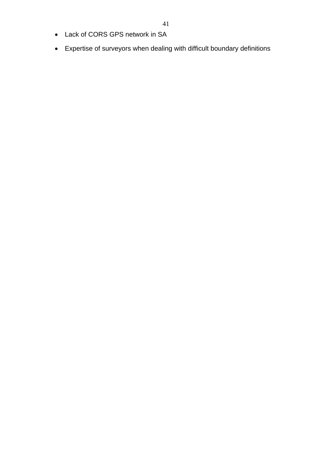- Lack of CORS GPS network in SA
- Expertise of surveyors when dealing with difficult boundary definitions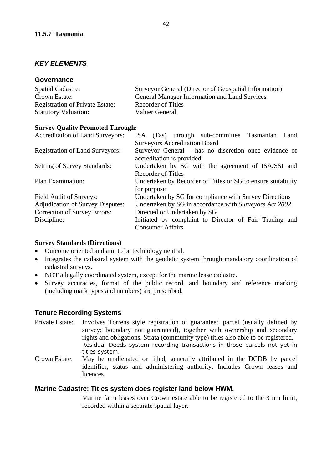## *KEY ELEMENTS*

## **Governance**

| <b>Spatial Cadastre:</b>               | Surveyor General (Director of Geospatial Information) |
|----------------------------------------|-------------------------------------------------------|
| Crown Estate:                          | <b>General Manager Information and Land Services</b>  |
| <b>Registration of Private Estate:</b> | Recorder of Titles                                    |
| <b>Statutory Valuation:</b>            | Valuer General                                        |

#### **Survey Quality Promoted Through:**

| <b>Accreditation of Land Surveyors:</b> | ISA (Tas) through sub-committee Tasmanian<br>Land            |  |  |  |  |
|-----------------------------------------|--------------------------------------------------------------|--|--|--|--|
|                                         | <b>Surveyors Accreditation Board</b>                         |  |  |  |  |
| <b>Registration of Land Surveyors:</b>  | Surveyor General – has no discretion once evidence of        |  |  |  |  |
|                                         | accreditation is provided                                    |  |  |  |  |
| <b>Setting of Survey Standards:</b>     | Undertaken by SG with the agreement of ISA/SSI and           |  |  |  |  |
|                                         | <b>Recorder of Titles</b>                                    |  |  |  |  |
| Plan Examination:                       | Undertaken by Recorder of Titles or SG to ensure suitability |  |  |  |  |
|                                         | for purpose                                                  |  |  |  |  |
| Field Audit of Surveys:                 | Undertaken by SG for compliance with Survey Directions       |  |  |  |  |
| <b>Adjudication of Survey Disputes:</b> | Undertaken by SG in accordance with Surveyors Act 2002       |  |  |  |  |
| Correction of Survey Errors:            | Directed or Undertaken by SG                                 |  |  |  |  |
| Discipline:                             | Initiated by complaint to Director of Fair Trading and       |  |  |  |  |
|                                         | <b>Consumer Affairs</b>                                      |  |  |  |  |

## **Survey Standards (Directions)**

- Outcome oriented and aim to be technology neutral.
- Integrates the cadastral system with the geodetic system through mandatory coordination of cadastral surveys.
- NOT a legally coordinated system, except for the marine lease cadastre.
- Survey accuracies, format of the public record, and boundary and reference marking (including mark types and numbers) are prescribed.

## **Tenure Recording Systems**

- Private Estate: Involves Torrens style registration of guaranteed parcel (usually defined by survey; boundary not guaranteed), together with ownership and secondary rights and obligations. Strata (community type) titles also able to be registered. Residual Deeds system recording transactions in those parcels not yet in titles system.
- Crown Estate: May be unalienated or titled, generally attributed in the DCDB by parcel identifier, status and administering authority. Includes Crown leases and **licences**

## **Marine Cadastre: Titles system does register land below HWM.**

Marine farm leases over Crown estate able to be registered to the 3 nm limit, recorded within a separate spatial layer.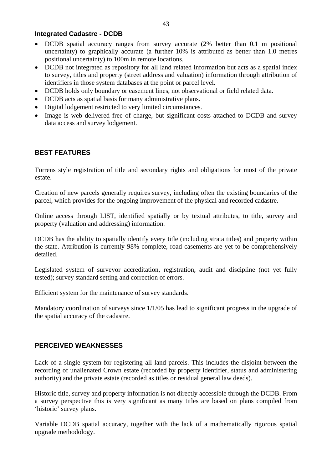## **Integrated Cadastre - DCDB**

- DCDB spatial accuracy ranges from survey accurate (2% better than 0.1 m positional uncertainty) to graphically accurate (a further 10% is attributed as better than 1.0 metres positional uncertainty) to 100m in remote locations.
- DCDB not integrated as repository for all land related information but acts as a spatial index to survey, titles and property (street address and valuation) information through attribution of identifiers in those system databases at the point or parcel level.
- DCDB holds only boundary or easement lines, not observational or field related data.
- DCDB acts as spatial basis for many administrative plans.
- Digital lodgement restricted to very limited circumstances.
- Image is web delivered free of charge, but significant costs attached to DCDB and survey data access and survey lodgement.

## **BEST FEATURES**

Torrens style registration of title and secondary rights and obligations for most of the private estate.

Creation of new parcels generally requires survey, including often the existing boundaries of the parcel, which provides for the ongoing improvement of the physical and recorded cadastre.

Online access through LIST, identified spatially or by textual attributes, to title, survey and property (valuation and addressing) information.

DCDB has the ability to spatially identify every title (including strata titles) and property within the state. Attribution is currently 98% complete, road casements are yet to be comprehensively detailed.

Legislated system of surveyor accreditation, registration, audit and discipline (not yet fully tested); survey standard setting and correction of errors.

Efficient system for the maintenance of survey standards.

Mandatory coordination of surveys since 1/1/05 has lead to significant progress in the upgrade of the spatial accuracy of the cadastre.

## **PERCEIVED WEAKNESSES**

Lack of a single system for registering all land parcels. This includes the disjoint between the recording of unalienated Crown estate (recorded by property identifier, status and administering authority) and the private estate (recorded as titles or residual general law deeds).

Historic title, survey and property information is not directly accessible through the DCDB. From a survey perspective this is very significant as many titles are based on plans compiled from 'historic' survey plans.

Variable DCDB spatial accuracy, together with the lack of a mathematically rigorous spatial upgrade methodology.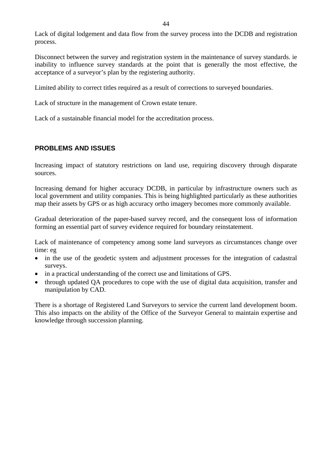Lack of digital lodgement and data flow from the survey process into the DCDB and registration process.

Disconnect between the survey and registration system in the maintenance of survey standards. ie inability to influence survey standards at the point that is generally the most effective, the acceptance of a surveyor's plan by the registering authority.

Limited ability to correct titles required as a result of corrections to surveyed boundaries.

Lack of structure in the management of Crown estate tenure.

Lack of a sustainable financial model for the accreditation process.

## **PROBLEMS AND ISSUES**

Increasing impact of statutory restrictions on land use, requiring discovery through disparate sources.

Increasing demand for higher accuracy DCDB, in particular by infrastructure owners such as local government and utility companies. This is being highlighted particularly as these authorities map their assets by GPS or as high accuracy ortho imagery becomes more commonly available.

Gradual deterioration of the paper-based survey record, and the consequent loss of information forming an essential part of survey evidence required for boundary reinstatement.

Lack of maintenance of competency among some land surveyors as circumstances change over time: eg

- in the use of the geodetic system and adjustment processes for the integration of cadastral surveys.
- in a practical understanding of the correct use and limitations of GPS.
- through updated QA procedures to cope with the use of digital data acquisition, transfer and manipulation by CAD.

There is a shortage of Registered Land Surveyors to service the current land development boom. This also impacts on the ability of the Office of the Surveyor General to maintain expertise and knowledge through succession planning.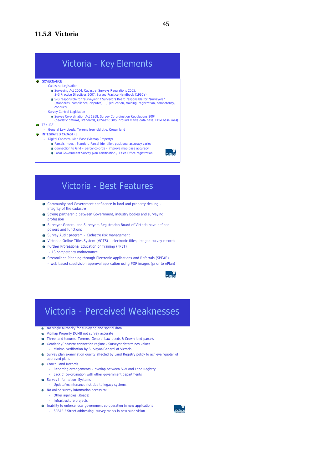# Victoria - Key Elements

**GOVERNANCE** 

- Cadastral Legislation
	- Surveying Act 2004, Cadastral Surveys Regulations 2005, S-G Practice Directives 2007, Survey Practice Handbook (1990's)
	- S-G responsible for "surveying" / Surveyors Board responsible for "surveyors"<br>(standards, compliance, disputes) / (education, training, registration, competency,
	- conduct)
- Survey Control Legislation
- Survey Co-ordination Act 1958, Survey Co-ordination Regulations 2004 (geodetic datums, standards, GPSnet-CORS, ground marks data base, EDM base lines)
- **TENURE**
- General Law deeds, Torrens freehold title, Crown land
- **INTEGRATED CADASTRE** 
	- Digital Cadastral Map Base (Vicmap Property)
		- Parcels Index , Standard Parcel Identifier, positional accuracy varies
		- Connection to Grid parcel co-ords improve map base accuracy Local Government Survey plan certification / Titles Office registration
			-

## Victoria - Best Features

- Community and Government confidence in land and property dealing integrity of the cadastre
- **CE** Strong partnership between Government, industry bodies and surveying profession
- Surveyor-General and Surveyors Registration Board of Victoria have defined powers and functions
- Survey Audit program Cadastre risk management
- Victorian Online Titles System (VOTS) electronic titles, imaged survey records
- Further Professional Education or Training (FPET)
- LS competency maintenance
- Streamlined Planning through Electronic Applications and Referrals (SPEAR) – web based subdivision approval application using PDF images (prior to ePlan)

 $\begin{array}{c} \hline \end{array}$ 

## Victoria - Perceived Weaknesses

- $\bullet$  No single authority for surveying and spatial data
- **Vicmap Property DCMB not survey accurate**
- Three land tenures: Torrens, General Law deeds & Crown land parcels
- Geodetic /Cadastre connection regime Surveyor determines values – Minimal verification by Surveyor-General of Victoria
- Survey plan examination quality affected by Land Registry policy to achieve "quota" of approved plans
- Crown Land Records
- Reporting arrangements overlap between SGV and Land Registry
- Lack of co-ordination with other government departments
- **Survey Information Systems** 
	- Update/maintenance risk due to legacy systems
- No online survey information access to:
	- Other agencies (Roads)
		- Infrastructure projects
- **Inability to enforce local government co-operation in new applications** 
	- SPEAR / Street addressing, survey marks in new subdivision

![](_page_45_Picture_42.jpeg)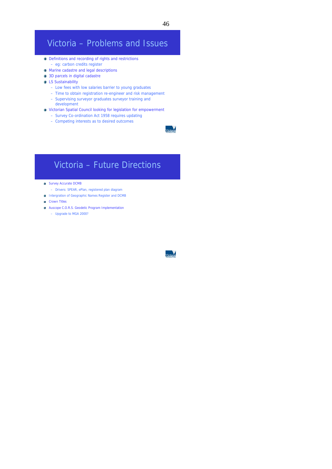# Victoria – Problems and Issues

- Definitions and recording of rights and restrictions
- eg: carbon credits register
- **•** Marine cadastre and legal descriptions • 3D parcels in digital cadastre
- **C** LS Sustainability
	- Low fees with low salaries barrier to young graduates
	- Time to obtain registration re-engineer and risk management
	- Supervising surveyor graduates surveyor training and development
- Victorian Spatial Council looking for legislation for empowerment
	- Survey Co-ordination Act 1958 requires updating
	- Competing interests as to desired outcomes

## Victoria – Future Directions

- **Survey Accurate DCMB** 
	- Drivers: SPEAR, ePlan, registered plan diagram
- **Intergration of Geographic Names Register and DCMB**
- **Crown Titles**
- **Auscope C.O.R.S. Geodetic Program Implementation** 
	- Upgrade to MGA 2000?

<del>ي</del><br>Tictory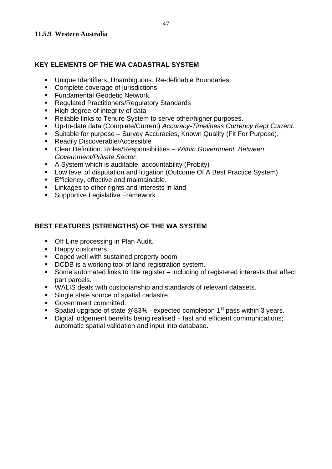## **KEY ELEMENTS OF THE WA CADASTRAL SYSTEM**

- Unique Identifiers, Unambiguous, Re-definable Boundaries.
- **Complete coverage of jurisdictions**
- **Fundamental Geodetic Network.**
- **Requiated Practitioners/Regulatory Standards**
- High degree of integrity of data
- Reliable links to Tenure System to serve other/higher purposes.
- Up-to-date data (Complete/Current) *Accuracy-Timeliness Currency Kept Current.*
- Suitable for purpose Survey Accuracies, Known Quality (Fit For Purpose).
- Readily Discoverable/Accessible
- Clear Definition. Roles/Responsibilities *Within Government, Between Government/Private Sector.*
- A System which is auditable, accountability (Probity)
- **Low level of disputation and litigation (Outcome Of A Best Practice System)**
- **Efficiency, effective and maintainable.**
- **EXECUTE:** Linkages to other rights and interests in land
- **Supportive Legislative Framework**

## **BEST FEATURES (STRENGTHS) OF THE WA SYSTEM**

- Off Line processing in Plan Audit.
- **Happy customers.**
- **Coped well with sustained property boom**
- DCDB is a working tool of land registration system.
- Some automated links to title register including of registered interests that affect part parcels.
- WALIS deals with custodianship and standards of relevant datasets.
- Single state source of spatial cadastre.
- **Government committed.**
- **Spatial upgrade of state @83% expected completion 1<sup>st</sup> pass within 3 years.**
- Digital lodgement benefits being realised fast and efficient communications; automatic spatial validation and input into database.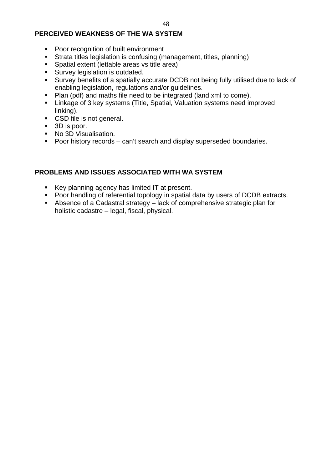## **PERCEIVED WEAKNESS OF THE WA SYSTEM**

- **Poor recognition of built environment**
- Strata titles legislation is confusing (management, titles, planning)
- Spatial extent (lettable areas vs title area)
- **Survey legislation is outdated.**
- Survey benefits of a spatially accurate DCDB not being fully utilised due to lack of enabling legislation, regulations and/or guidelines.
- Plan (pdf) and maths file need to be integrated (land xml to come).
- **EXTER** Linkage of 3 key systems (Title, Spatial, Valuation systems need improved linking).
- CSD file is not general.
- 3D is poor.
- **No 3D Visualisation.**
- **Poor history records can't search and display superseded boundaries.**

## **PROBLEMS AND ISSUES ASSOCIATED WITH WA SYSTEM**

- Key planning agency has limited IT at present.
- Poor handling of referential topology in spatial data by users of DCDB extracts.
- Absence of a Cadastral strategy lack of comprehensive strategic plan for holistic cadastre – legal, fiscal, physical.